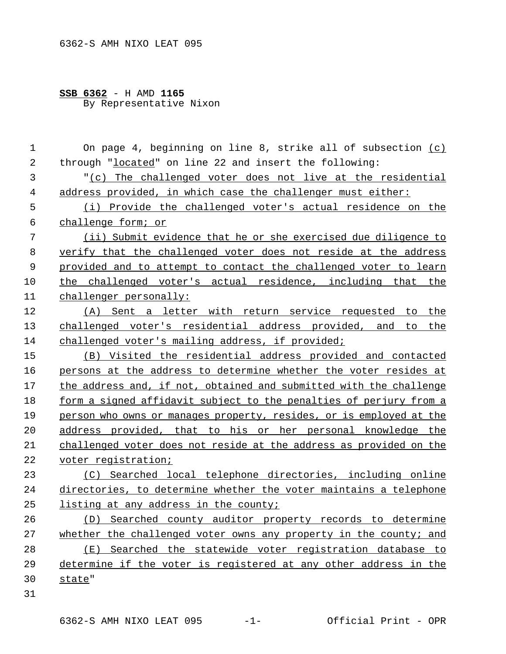## **SSB 6362** - H AMD **1165** By Representative Nixon

 On page 4, beginning on line 8, strike all of subsection (c) through "located" on line 22 and insert the following: "(c) The challenged voter does not live at the residential address provided, in which case the challenger must either: (i) Provide the challenged voter's actual residence on the challenge form; or (ii) Submit evidence that he or she exercised due diligence to verify that the challenged voter does not reside at the address 9 provided and to attempt to contact the challenged voter to learn 10 the challenged voter's actual residence, including that the challenger personally: (A) Sent a letter with return service requested to the challenged voter's residential address provided, and to the challenged voter's mailing address, if provided; (B) Visited the residential address provided and contacted persons at the address to determine whether the voter resides at the address and, if not, obtained and submitted with the challenge form a signed affidavit subject to the penalties of perjury from a person who owns or manages property, resides, or is employed at the address provided, that to his or her personal knowledge the challenged voter does not reside at the address as provided on the 22 voter registration; (C) Searched local telephone directories, including online directories, to determine whether the voter maintains a telephone 25 listing at any address in the county; (D) Searched county auditor property records to determine whether the challenged voter owns any property in the county; and (E) Searched the statewide voter registration database to determine if the voter is registered at any other address in the state"